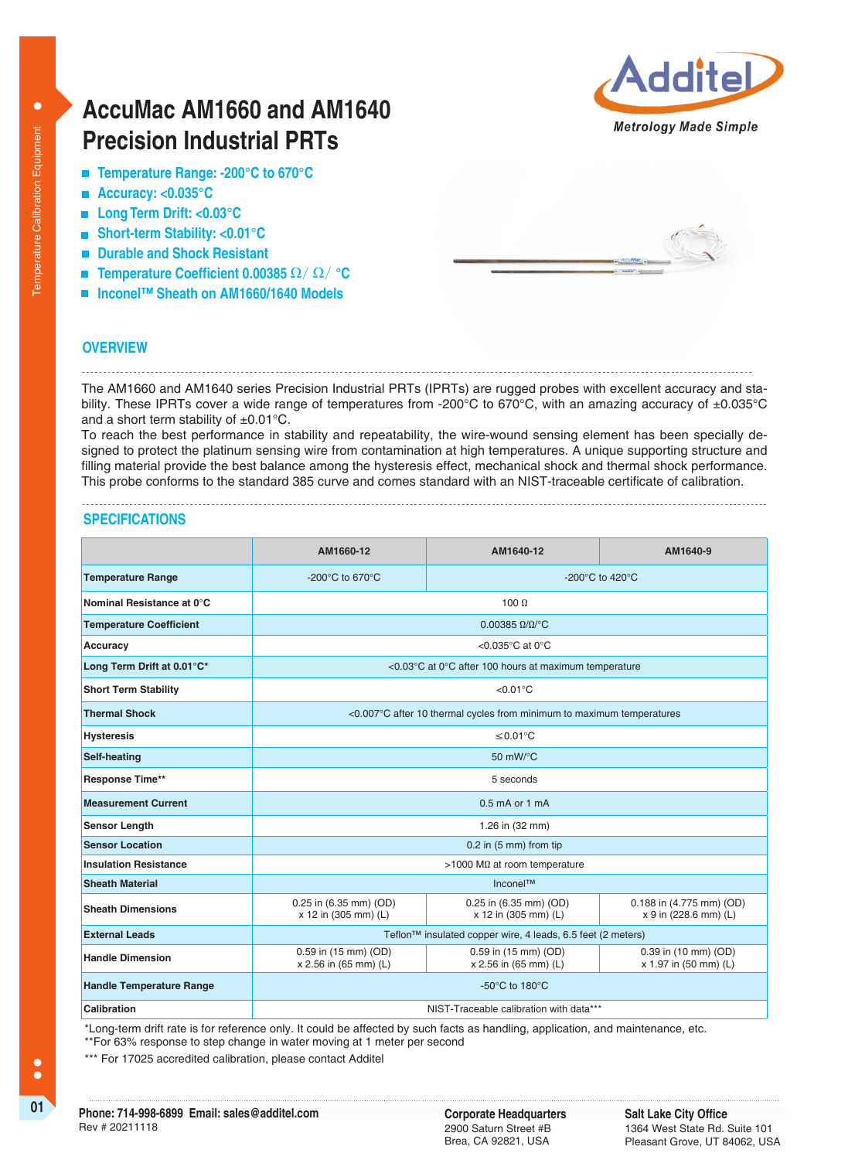# **AccuMac AM1660 and AM1640 Precision Industrial PRTs**

- **Temperature Range: -200°C to 670°C**
- **Accuracy: <0.035°C**
- **Long Term Drift: <0.03°C**
- **Short-term Stability: <0.01°C**
- **Durable and Shock Resistant**
- **Temperature Coefficient 0.00385** Ω/ Ω/ **°C**
- **Inconel™ Sheath on AM1660/1640 Models**



### **OVERVIEW**

### The AM1660 and AM1640 series Precision Industrial PRTs (IPRTs) are rugged probes with excellent accuracy and stability. These IPRTs cover a wide range of temperatures from -200°C to 670°C, with an amazing accuracy of  $\pm 0.035$ °C and a short term stability of  $\pm 0.01^{\circ}$ C.

To reach the best performance in stability and repeatability, the wire-wound sensing element has been specially designed to protect the platinum sensing wire from contamination at high temperatures. A unique supporting structure and filling material provide the best balance among the hysteresis effect, mechanical shock and thermal shock performance. This probe conforms to the standard 385 curve and comes standard with an NIST-traceable certificate of calibration.

# **SPECIFICATIONS**

|                                 | AM1660-12                                                             | AM1640-12                                      | AM1640-9                                          |
|---------------------------------|-----------------------------------------------------------------------|------------------------------------------------|---------------------------------------------------|
| <b>Temperature Range</b>        | -200 $\degree$ C to 670 $\degree$ C                                   | -200 $^{\circ}$ C to 420 $^{\circ}$ C          |                                                   |
| Nominal Resistance at 0°C       | 100 $\Omega$                                                          |                                                |                                                   |
| <b>Temperature Coefficient</b>  | $0.00385 \Omega/\Omega$ <sup>o</sup> C                                |                                                |                                                   |
| Accuracy                        | <0.035°C at 0°C                                                       |                                                |                                                   |
| Long Term Drift at 0.01°C*      | <0.03°C at 0°C after 100 hours at maximum temperature                 |                                                |                                                   |
| <b>Short Term Stability</b>     | $< 0.01$ °C                                                           |                                                |                                                   |
| <b>Thermal Shock</b>            | <0.007°C after 10 thermal cycles from minimum to maximum temperatures |                                                |                                                   |
| <b>Hysteresis</b>               | $\leq 0.01$ °C                                                        |                                                |                                                   |
| Self-heating                    | 50 $mW$ /°C                                                           |                                                |                                                   |
| <b>Response Time**</b>          | 5 seconds                                                             |                                                |                                                   |
| <b>Measurement Current</b>      | $0.5$ mA or 1 mA                                                      |                                                |                                                   |
| Sensor Length                   | 1.26 in (32 mm)                                                       |                                                |                                                   |
| <b>Sensor Location</b>          | $0.2$ in $(5 \text{ mm})$ from tip                                    |                                                |                                                   |
| <b>Insulation Resistance</b>    | >1000 M $\Omega$ at room temperature                                  |                                                |                                                   |
| <b>Sheath Material</b>          | Inconel™                                                              |                                                |                                                   |
| <b>Sheath Dimensions</b>        | 0.25 in (6.35 mm) (OD)<br>x 12 in (305 mm) (L)                        | 0.25 in (6.35 mm) (OD)<br>x 12 in (305 mm) (L) | 0.188 in (4.775 mm) (OD)<br>x 9 in (228.6 mm) (L) |
| <b>External Leads</b>           | Teflon™ insulated copper wire, 4 leads, 6.5 feet (2 meters)           |                                                |                                                   |
| <b>Handle Dimension</b>         | 0.59 in (15 mm) (OD)<br>x 2.56 in (65 mm) (L)                         | 0.59 in (15 mm) (OD)<br>x 2.56 in (65 mm) (L)  | 0.39 in (10 mm) (OD)<br>x 1.97 in (50 mm) (L)     |
| <b>Handle Temperature Range</b> | -50 $\degree$ C to 180 $\degree$ C                                    |                                                |                                                   |
| Calibration                     | NIST-Traceable calibration with data***                               |                                                |                                                   |

 \*Long-term drift rate is for reference only. It could be affected by such facts as handling, application, and maintenance, etc. \*\*For 63% response to step change in water moving at 1 meter per second

\*\*\* For 17025 accredited calibration, please contact Additel

2900 Saturn Street #B Brea, CA 92821, USA